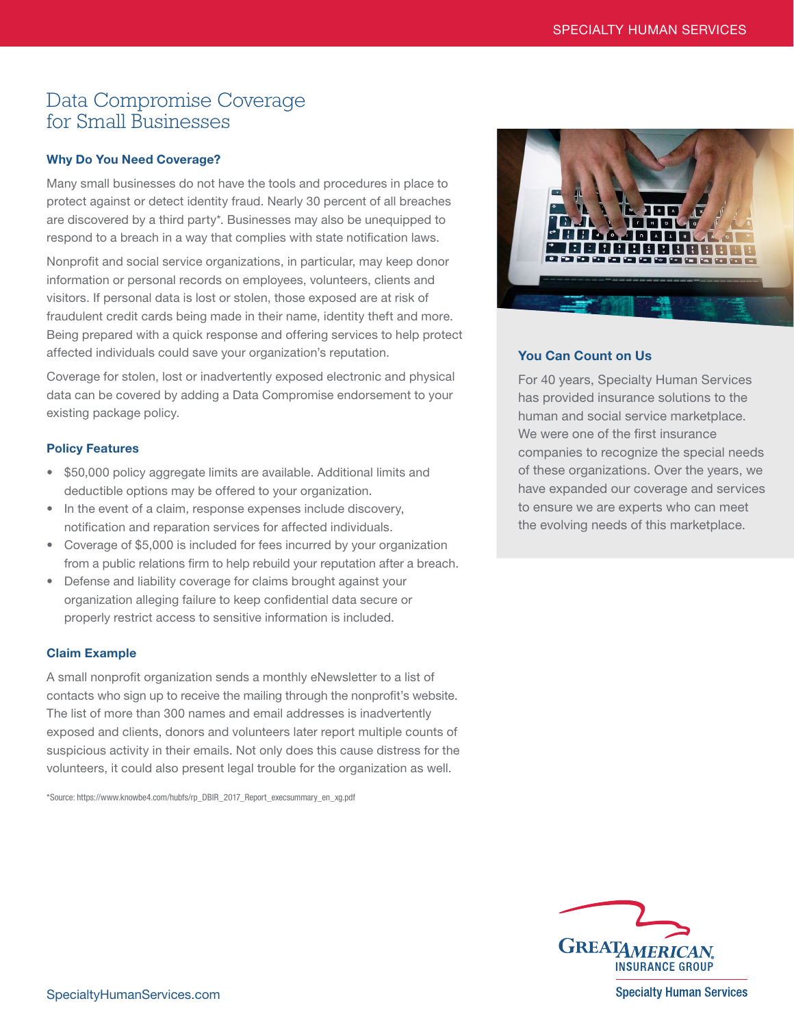# Data Compromise Coverage for Small Businesses

## Why Do You Need Coverage?

Many small businesses do not have the tools and procedures in place to protect against or detect identity fraud. Nearly 30 percent of all breaches are discovered by a third party\*. Businesses may also be unequipped to respond to a breach in a way that complies with state notification laws.

Nonprofit and social service organizations, in particular, may keep donor information or personal records on employees, volunteers, clients and visitors. If personal data is lost or stolen, those exposed are at risk of fraudulent credit cards being made in their name, identity theft and more. Being prepared with a quick response and offering services to help protect affected individuals could save your organization's reputation.

Coverage for stolen, lost or inadvertently exposed electronic and physical data can be covered by adding a Data Compromise endorsement to your existing package policy.

### Policy Features

- \$50,000 policy aggregate limits are available. Additional limits and deductible options may be offered to your organization.
- In the event of a claim, response expenses include discovery, notification and reparation services for affected individuals.
- Coverage of \$5,000 is included for fees incurred by your organization from a public relations firm to help rebuild your reputation after a breach.
- Defense and liability coverage for claims brought against your organization alleging failure to keep confidential data secure or properly restrict access to sensitive information is included.

### Claim Example

A small nonprofit organization sends a monthly eNewsletter to a list of contacts who sign up to receive the mailing through the nonprofit's website. The list of more than 300 names and email addresses is inadvertently exposed and clients, donors and volunteers later report multiple counts of suspicious activity in their emails. Not only does this cause distress for the volunteers, it could also present legal trouble for the organization as well.

\*Source: https://www.knowbe4.com/hubfs/rp\_DBIR\_2017\_Report\_execsummary\_en\_xg.pdf



### You Can Count on Us

For 40 years, Specialty Human Services has provided insurance solutions to the human and social service marketplace. We were one of the first insurance companies to recognize the special needs of these organizations. Over the years, we have expanded our coverage and services to ensure we are experts who can meet the evolving needs of this marketplace.



**Specialty Human Services** 

SpecialtyHumanServices.com